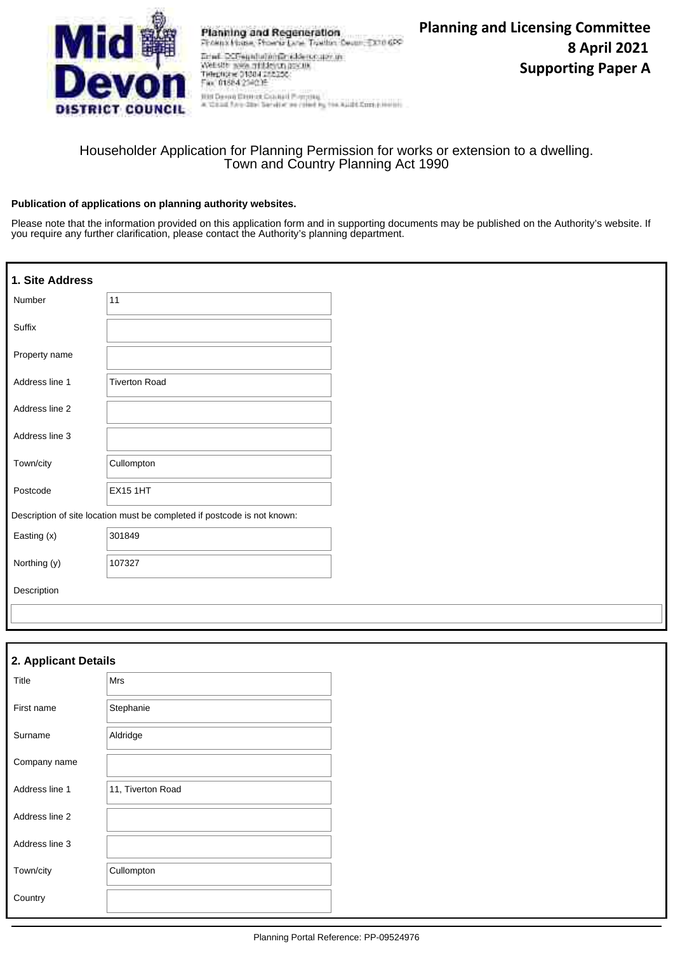

Planning and Regeneration Freenx House, Phoenix Lane, Traillin, Decen, EX10 6PP Ernell DCFeunduranderschenduren<br>Weiste wes mitten aus aus der Tempure (1984)<br>Tempure (1984-1982)<br>Ern (1984-1982)

Fin: 01884 2540 H Hill Derro Element Council Proming<br>A Wand for the Service on raine by the Aught Countries of

## Householder Application for Planning Permission for works or extension to a dwelling. Town and Country Planning Act 1990

#### **Publication of applications on planning authority websites.**

Please note that the information provided on this application form and in supporting documents may be published on the Authority's website. If you require any further clarification, please contact the Authority's planning department.

| 1. Site Address |                                                                          |
|-----------------|--------------------------------------------------------------------------|
| Number          | 11                                                                       |
| Suffix          |                                                                          |
| Property name   |                                                                          |
| Address line 1  | <b>Tiverton Road</b>                                                     |
| Address line 2  |                                                                          |
| Address line 3  |                                                                          |
| Town/city       | Cullompton                                                               |
| Postcode        | <b>EX15 1HT</b>                                                          |
|                 | Description of site location must be completed if postcode is not known: |
| Easting (x)     | 301849                                                                   |
| Northing (y)    | 107327                                                                   |
| Description     |                                                                          |
|                 |                                                                          |

| 2. Applicant Details |                   |  |  |
|----------------------|-------------------|--|--|
| Title                | <b>Mrs</b>        |  |  |
| First name           | Stephanie         |  |  |
| Surname              | Aldridge          |  |  |
| Company name         |                   |  |  |
| Address line 1       | 11, Tiverton Road |  |  |
| Address line 2       |                   |  |  |
| Address line 3       |                   |  |  |
| Town/city            | Cullompton        |  |  |
| Country              |                   |  |  |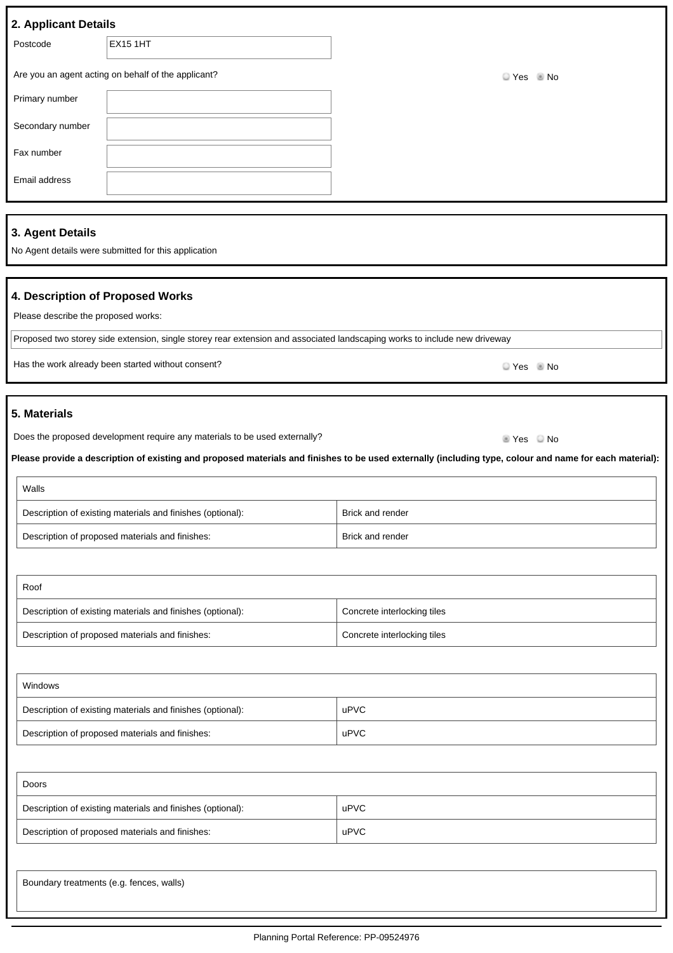| 2. Applicant Details |                                                     |          |  |  |
|----------------------|-----------------------------------------------------|----------|--|--|
| Postcode             | <b>EX15 1HT</b>                                     |          |  |  |
|                      | Are you an agent acting on behalf of the applicant? | $Yes$ No |  |  |
| Primary number       |                                                     |          |  |  |
| Secondary number     |                                                     |          |  |  |
| Fax number           |                                                     |          |  |  |
| Email address        |                                                     |          |  |  |
|                      |                                                     |          |  |  |

#### **3. Agent Details**

No Agent details were submitted for this application

#### **4. Description of Proposed Works**

Please describe the proposed works:

Proposed two storey side extension, single storey rear extension and associated landscaping works to include new driveway

Has the work already been started without consent?<br>
No

#### **5. Materials**

Does the proposed development require any materials to be used externally? Does the proposed  $Y$ es No

**Please provide a description of existing and proposed materials and finishes to be used externally (including type, colour and name for each material):**

| Walls                                                      |                  |
|------------------------------------------------------------|------------------|
| Description of existing materials and finishes (optional): | Brick and render |
| Description of proposed materials and finishes:            | Brick and render |

| Roof                                                       |                             |  |
|------------------------------------------------------------|-----------------------------|--|
| Description of existing materials and finishes (optional): | Concrete interlocking tiles |  |
| Description of proposed materials and finishes:            | Concrete interlocking tiles |  |

| Windows                                                    |      |
|------------------------------------------------------------|------|
| Description of existing materials and finishes (optional): | uPVC |
| Description of proposed materials and finishes:            | uPVC |

| Doors                                                      |      |  |
|------------------------------------------------------------|------|--|
| Description of existing materials and finishes (optional): | uPVC |  |
| Description of proposed materials and finishes:            | uPVC |  |
|                                                            |      |  |

Boundary treatments (e.g. fences, walls)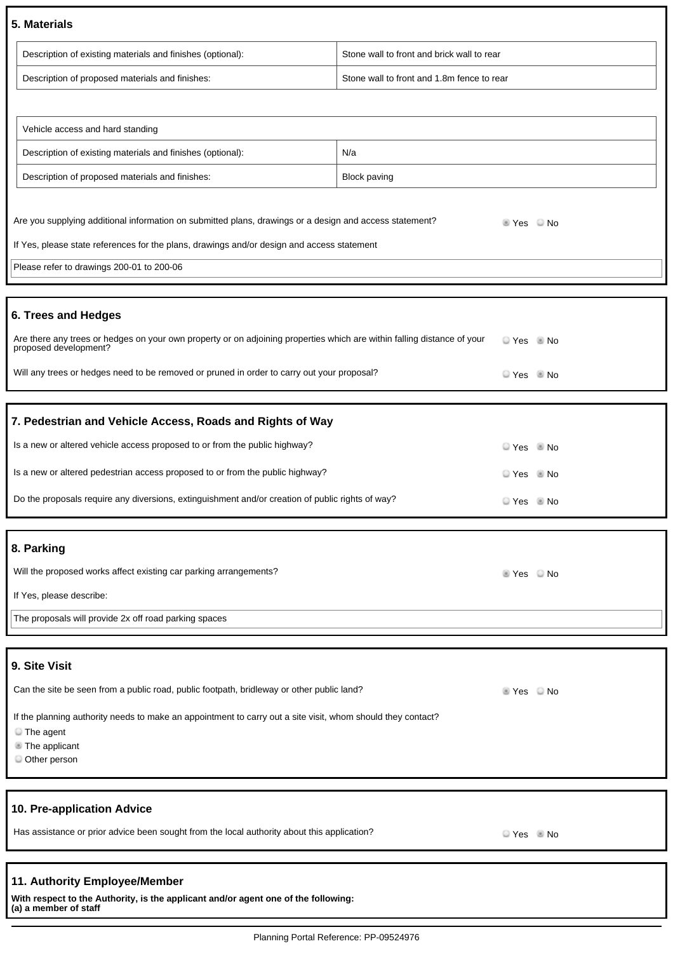#### **5. Materials**

| Description of existing materials and finishes (optional): | Stone wall to front and brick wall to rear |
|------------------------------------------------------------|--------------------------------------------|
| Description of proposed materials and finishes:            | Stone wall to front and 1.8m fence to rear |

| Vehicle access and hard standing                           |              |
|------------------------------------------------------------|--------------|
| Description of existing materials and finishes (optional): | N/a          |
| Description of proposed materials and finishes:            | Block paving |

| 6. Trees and Hedges                                                                                     |                                      |  |
|---------------------------------------------------------------------------------------------------------|--------------------------------------|--|
|                                                                                                         |                                      |  |
| Please refer to drawings 200-01 to 200-06                                                               |                                      |  |
| If Yes, please state references for the plans, drawings and/or design and access statement              |                                      |  |
| Are you supplying additional information on submitted plans, drawings or a design and access statement? | $\blacksquare$ Yes $\blacksquare$ No |  |

| Are there any trees or hedges on your own property or on adjoining properties which are within falling distance of your<br>proposed development? | li Yes III No |  |
|--------------------------------------------------------------------------------------------------------------------------------------------------|---------------|--|
| Will any trees or hedges need to be removed or pruned in order to carry out your proposal?                                                       | $Yes$ No      |  |

## **7. Pedestrian and Vehicle Access, Roads and Rights of Way**

| Is a new or altered vehicle access proposed to or from the public highway?                       | $Yes$ No |  |
|--------------------------------------------------------------------------------------------------|----------|--|
| Is a new or altered pedestrian access proposed to or from the public highway?                    | $Yes$ No |  |
| Do the proposals require any diversions, extinguishment and/or creation of public rights of way? | $Yes$ Mo |  |

#### **8. Parking**

| Will the proposed works affect existing car parking arrangements? | ± Yes ⊌ No |  |
|-------------------------------------------------------------------|------------|--|
| If Yes, please describe:                                          |            |  |
| The proposals will provide 2x off road parking spaces             |            |  |

## **9. Site Visit**

| Can the site be seen from a public road, public footpath, bridleway or other public land?                                                                                | $\triangle$ Yes | $\Box$ No |
|--------------------------------------------------------------------------------------------------------------------------------------------------------------------------|-----------------|-----------|
| If the planning authority needs to make an appointment to carry out a site visit, whom should they contact?<br>$\blacksquare$ The agent<br>The applicant<br>Other person |                 |           |
|                                                                                                                                                                          |                 |           |

#### **10. Pre-application Advice**

Has assistance or prior advice been sought from the local authority about this application? Prestigation and the Vestin No

#### **11. Authority Employee/Member**

**With respect to the Authority, is the applicant and/or agent one of the following: (a) a member of staff**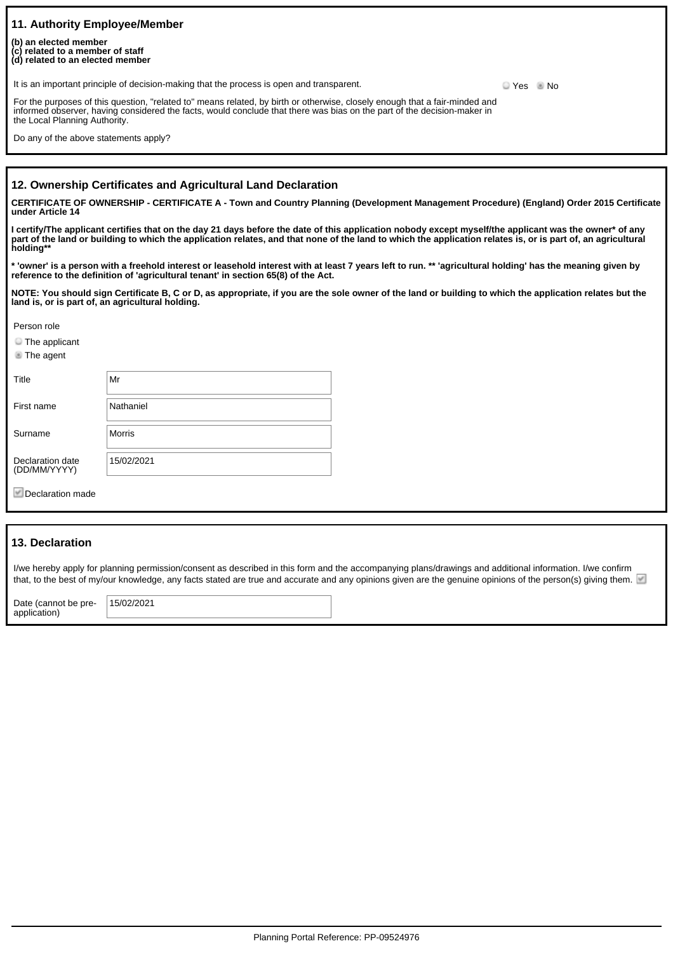| 11. Authority Employee/Member<br>(b) an elected member<br>(c) related to a member of staff<br>(d) related to an elected member                                                                                                                                                          |          |  |
|-----------------------------------------------------------------------------------------------------------------------------------------------------------------------------------------------------------------------------------------------------------------------------------------|----------|--|
| It is an important principle of decision-making that the process is open and transparent.                                                                                                                                                                                               | $Yes$ No |  |
| For the purposes of this question, "related to" means related, by birth or otherwise, closely enough that a fair-minded and<br>informed observer, having considered the facts, would conclude that there was bias on the part of the decision-maker in<br>the Local Planning Authority. |          |  |
| Do any of the above statements apply?                                                                                                                                                                                                                                                   |          |  |

#### **12. Ownership Certificates and Agricultural Land Declaration**

**CERTIFICATE OF OWNERSHIP - CERTIFICATE A - Town and Country Planning (Development Management Procedure) (England) Order 2015 Certificate under Article 14**

**I certify/The applicant certifies that on the day 21 days before the date of this application nobody except myself/the applicant was the owner\* of any part of the land or building to which the application relates, and that none of the land to which the application relates is, or is part of, an agricultural holding\*\***

**\* 'owner' is a person with a freehold interest or leasehold interest with at least 7 years left to run. \*\* 'agricultural holding' has the meaning given by reference to the definition of 'agricultural tenant' in section 65(8) of the Act.**

**NOTE: You should sign Certificate B, C or D, as appropriate, if you are the sole owner of the land or building to which the application relates but the land is, or is part of, an agricultural holding.**

Person role

**The applicant** 

**The agent** 

| Title                            | Mr         |
|----------------------------------|------------|
| First name                       | Nathaniel  |
| Surname                          | Morris     |
| Declaration date<br>(DD/MM/YYYY) | 15/02/2021 |

Declaration made

#### **13. Declaration**

I/we hereby apply for planning permission/consent as described in this form and the accompanying plans/drawings and additional information. I/we confirm that, to the best of my/our knowledge, any facts stated are true and accurate and any opinions given are the genuine opinions of the person(s) giving them.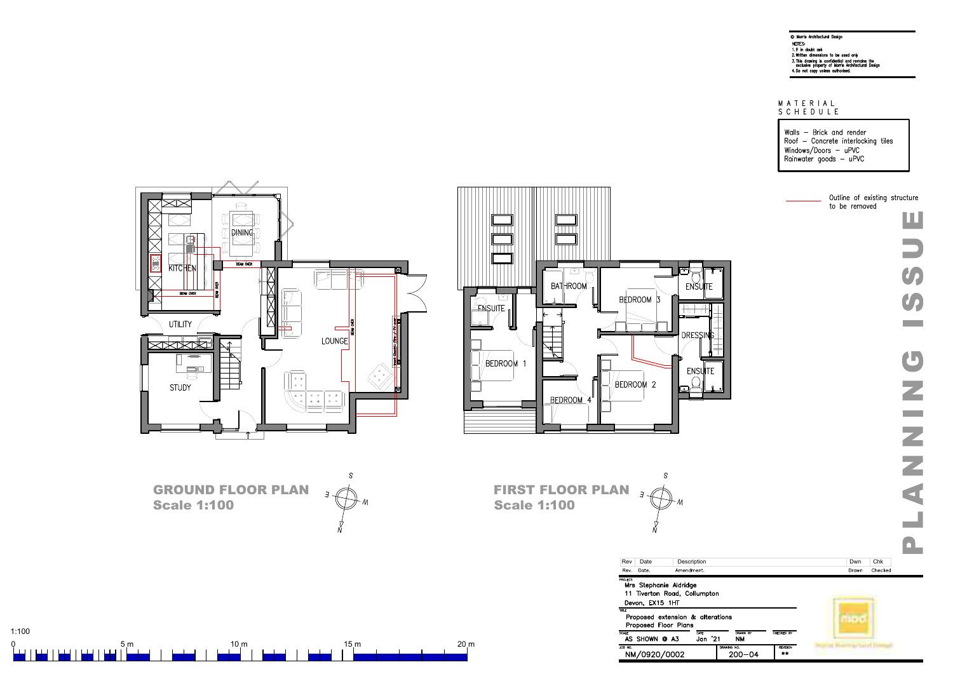

ப

 $1:100$ 

# MATERIAL<br>SCHEDULE

Walls - Brick and render Roof - Concrete interlocking tiles Windows/Doors - uPVC Rainwater goods - uPVC



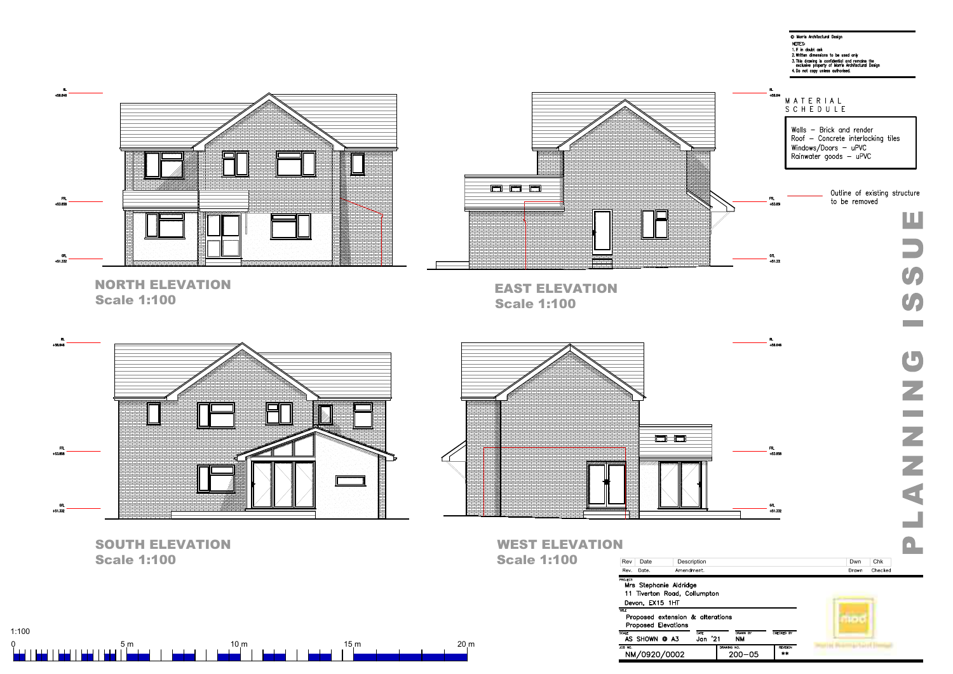



| DRAWN BY<br>ΝM | CHECKED BY      |
|----------------|-----------------|
| AWING NO.      | <b>REVISION</b> |
| 200–05         | **              |



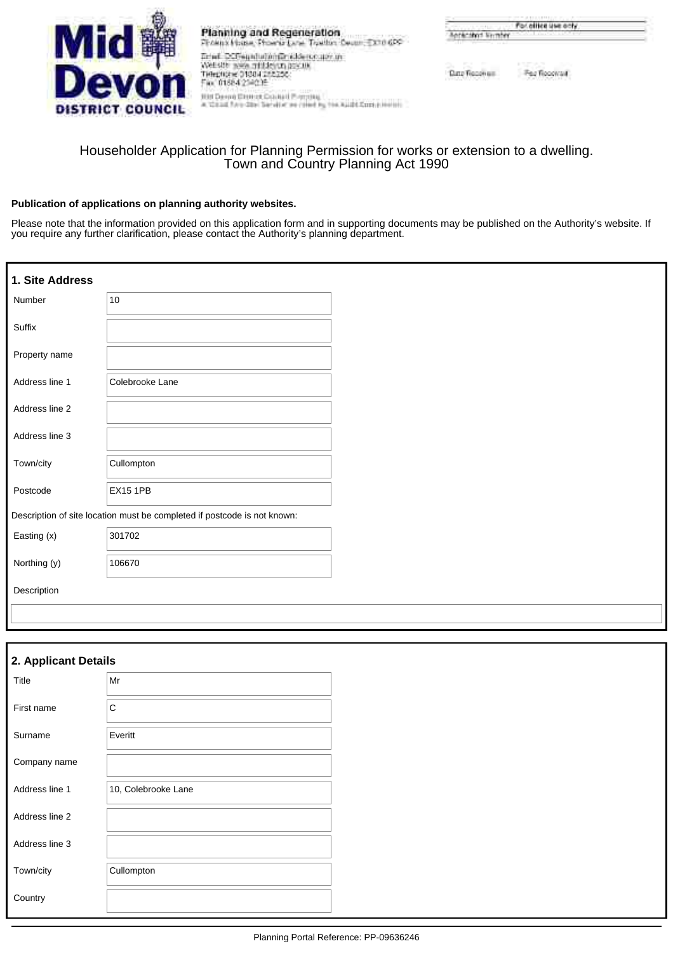

Planning and Regeneration From Huss, From Line Trailin Dean EX10 6PC  $\overline{\text{D}}$  and  $\overline{\text{D}}$  . The property of the set of the set of the set of the set of the set of the set of the set of the set of the set of the set of the set of the set of the set of the set of the set of  $\sim$ 

| the fame only is fainted that a parameter.                    |  |
|---------------------------------------------------------------|--|
| RHEDAHIN STRAKER SHANDALLE PARTENALL                          |  |
| a Visual Faro-She Sarvine we robed by the Audit Contributions |  |

| contract and | For other use only                       |  |
|--------------|------------------------------------------|--|
|              | received livening the continues and they |  |

Pez Rocovall Date Focus un

## Householder Application for Planning Permission for works or extension to a dwelling. Town and Country Planning Act 1990

#### **Publication of applications on planning authority websites.**

Please note that the information provided on this application form and in supporting documents may be published on the Authority's website. If you require any further clarification, please contact the Authority's planning department.

| 1. Site Address |                                                                          |
|-----------------|--------------------------------------------------------------------------|
| Number          | 10                                                                       |
| Suffix          |                                                                          |
| Property name   |                                                                          |
| Address line 1  | Colebrooke Lane                                                          |
| Address line 2  |                                                                          |
| Address line 3  |                                                                          |
| Town/city       | Cullompton                                                               |
| Postcode        | <b>EX15 1PB</b>                                                          |
|                 | Description of site location must be completed if postcode is not known: |
| Easting (x)     | 301702                                                                   |
| Northing (y)    | 106670                                                                   |
| Description     |                                                                          |
|                 |                                                                          |

| 2. Applicant Details |                     |  |  |
|----------------------|---------------------|--|--|
| Title                | Mr                  |  |  |
| First name           | C                   |  |  |
| Surname              | Everitt             |  |  |
| Company name         |                     |  |  |
| Address line 1       | 10, Colebrooke Lane |  |  |
| Address line 2       |                     |  |  |
| Address line 3       |                     |  |  |
| Town/city            | Cullompton          |  |  |
| Country              |                     |  |  |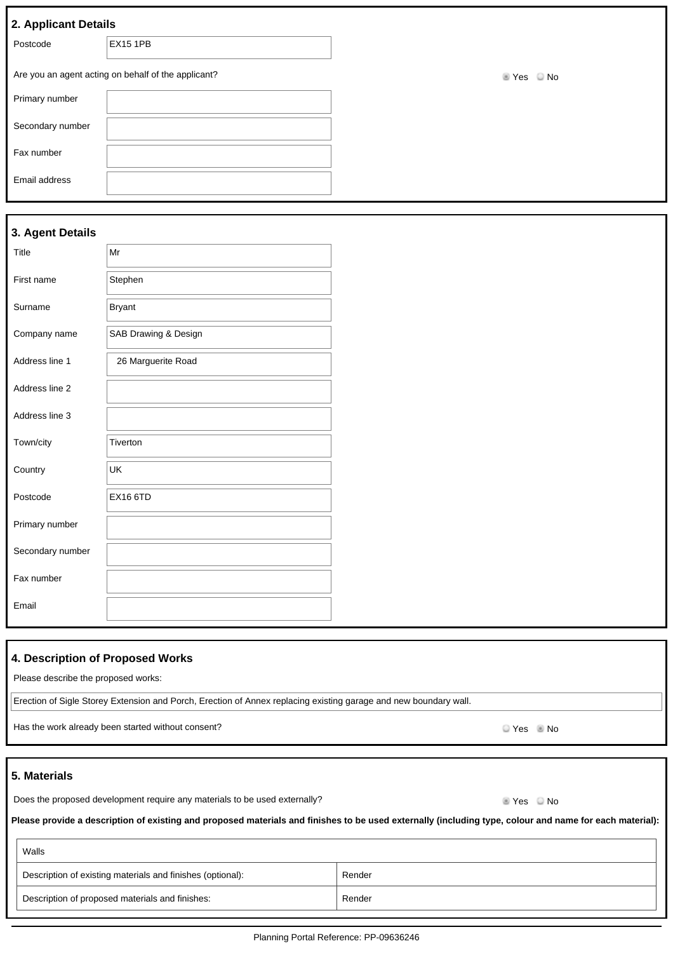|  | 2. Applicant Details |
|--|----------------------|
|  |                      |

| $= 1.7$          |                                                     |
|------------------|-----------------------------------------------------|
| Postcode         | <b>EX15 1PB</b>                                     |
|                  | Are you an agent acting on behalf of the applicant? |
| Primary number   |                                                     |
| Secondary number |                                                     |
| Fax number       |                                                     |
| Email address    |                                                     |

 $\blacksquare$  Yes  $\blacksquare$  No

#### **3. Agent Details**

| Title            | Mr                   |  |
|------------------|----------------------|--|
| First name       | Stephen              |  |
| Surname          | <b>Bryant</b>        |  |
| Company name     | SAB Drawing & Design |  |
| Address line 1   | 26 Marguerite Road   |  |
| Address line 2   |                      |  |
| Address line 3   |                      |  |
| Town/city        | Tiverton             |  |
| Country          | UK                   |  |
| Postcode         | <b>EX16 6TD</b>      |  |
| Primary number   |                      |  |
| Secondary number |                      |  |
| Fax number       |                      |  |
| Email            |                      |  |

#### **4. Description of Proposed Works**

Please describe the proposed works:

Erection of Sigle Storey Extension and Porch, Erection of Annex replacing existing garage and new boundary wall.

Has the work already been started without consent?<br>
No

#### **5. Materials**

 $\overline{1}$ 

Does the proposed development require any materials to be used externally? Does the proposed development require any materials to be used externally?

**Please provide a description of existing and proposed materials and finishes to be used externally (including type, colour and name for each material):**

| Walls                                                      |        |
|------------------------------------------------------------|--------|
| Description of existing materials and finishes (optional): | Render |
| Description of proposed materials and finishes:            | Render |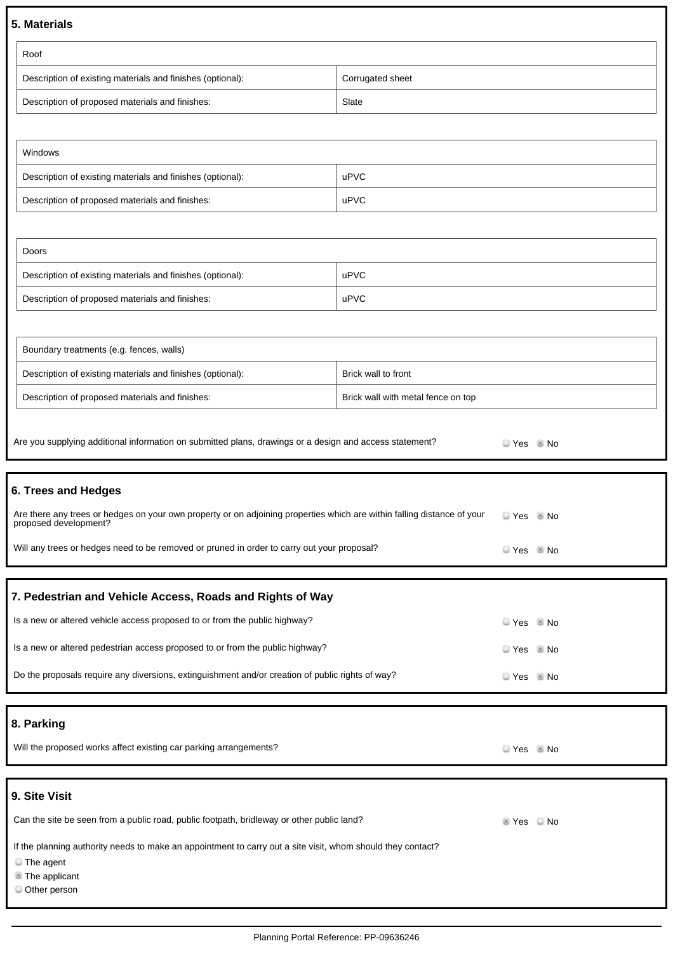#### **5. Materials**

| Roof                                                       |                  |
|------------------------------------------------------------|------------------|
| Description of existing materials and finishes (optional): | Corrugated sheet |
| Description of proposed materials and finishes:            | Slate            |

| Windows                                                    |      |
|------------------------------------------------------------|------|
| Description of existing materials and finishes (optional): | uPVC |
| Description of proposed materials and finishes:            | uPVC |

| Doors                                                      |      |
|------------------------------------------------------------|------|
| Description of existing materials and finishes (optional): | uPVC |
| Description of proposed materials and finishes:            | uPVC |

| Boundary treatments (e.g. fences, walls)                   |                                    |
|------------------------------------------------------------|------------------------------------|
| Description of existing materials and finishes (optional): | Brick wall to front                |
| Description of proposed materials and finishes:            | Brick wall with metal fence on top |

| Are you supplying additional information on submitted plans, drawings or a design and access statement?                                          | $Yes \tN$ |  |
|--------------------------------------------------------------------------------------------------------------------------------------------------|-----------|--|
| 6. Trees and Hedges                                                                                                                              |           |  |
| Are there any trees or hedges on your own property or on adjoining properties which are within falling distance of your<br>proposed development? | $Yes$ No  |  |
| Will any trees or hedges need to be removed or pruned in order to carry out your proposal?                                                       | $Yes$ Mo  |  |
| 7. Pedestrian and Vehicle Access, Roads and Rights of Way                                                                                        |           |  |

| Is a new or altered vehicle access proposed to or from the public highway?                       | $Yes$ Mo |
|--------------------------------------------------------------------------------------------------|----------|
| Is a new or altered pedestrian access proposed to or from the public highway?                    | $Yes$ Mo |
| Do the proposals require any diversions, extinguishment and/or creation of public rights of way? | $Yes$ Mo |

**8. Parking**

| Will the proposed works affect existing car parking arrangements? | Yes | $\blacksquare$ No |
|-------------------------------------------------------------------|-----|-------------------|
|-------------------------------------------------------------------|-----|-------------------|

## **9. Site Visit**

| Can the site be seen from a public road, public footpath, bridleway or other public land?                   | $\pm$ Yes $\Box$ No |  |
|-------------------------------------------------------------------------------------------------------------|---------------------|--|
| If the planning authority needs to make an appointment to carry out a site visit, whom should they contact? |                     |  |
|                                                                                                             |                     |  |

The agent

**The applicant** 

Other person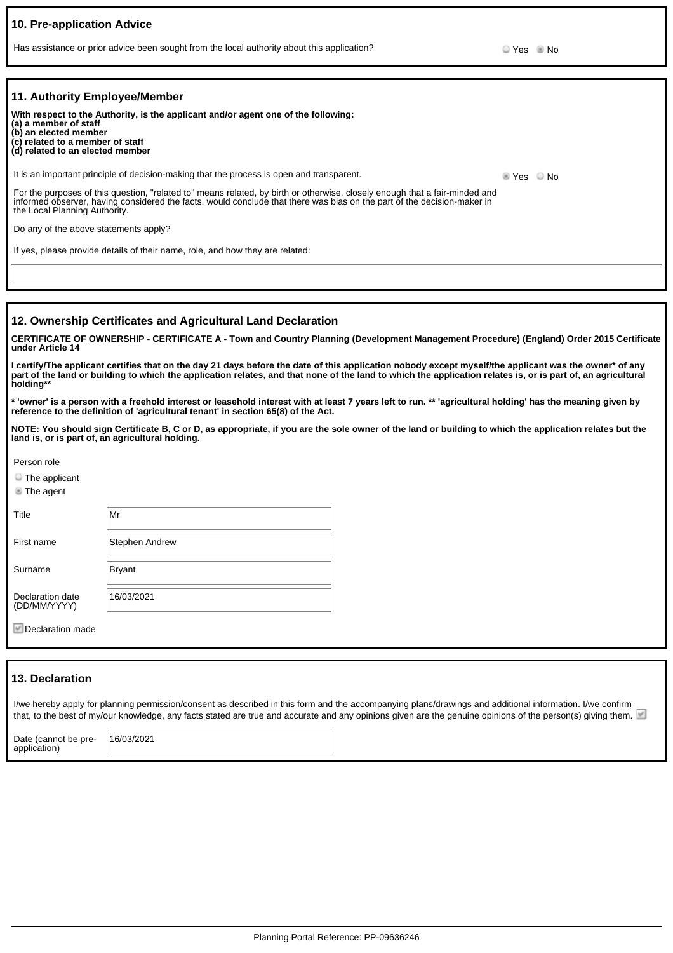| 10. Pre-application Advice                                                                                             |                                                                                                                                                                                                                                                                                                                        |                            |  |
|------------------------------------------------------------------------------------------------------------------------|------------------------------------------------------------------------------------------------------------------------------------------------------------------------------------------------------------------------------------------------------------------------------------------------------------------------|----------------------------|--|
|                                                                                                                        | Has assistance or prior advice been sought from the local authority about this application?                                                                                                                                                                                                                            | $Yes$ No                   |  |
|                                                                                                                        |                                                                                                                                                                                                                                                                                                                        |                            |  |
| 11. Authority Employee/Member                                                                                          |                                                                                                                                                                                                                                                                                                                        |                            |  |
| (a) a member of staff<br>(b) an elected member<br>(c) related to a member of staff<br>(d) related to an elected member | With respect to the Authority, is the applicant and/or agent one of the following:                                                                                                                                                                                                                                     |                            |  |
|                                                                                                                        | It is an important principle of decision-making that the process is open and transparent.                                                                                                                                                                                                                              | $\bullet$ Yes $\bullet$ No |  |
| the Local Planning Authority.                                                                                          | For the purposes of this question, "related to" means related, by birth or otherwise, closely enough that a fair-minded and<br>informed observer, having considered the facts, would conclude that there was bias on the part of the decision-maker in                                                                 |                            |  |
| Do any of the above statements apply?                                                                                  |                                                                                                                                                                                                                                                                                                                        |                            |  |
|                                                                                                                        | If yes, please provide details of their name, role, and how they are related:                                                                                                                                                                                                                                          |                            |  |
|                                                                                                                        |                                                                                                                                                                                                                                                                                                                        |                            |  |
|                                                                                                                        |                                                                                                                                                                                                                                                                                                                        |                            |  |
|                                                                                                                        | 12. Ownership Certificates and Agricultural Land Declaration                                                                                                                                                                                                                                                           |                            |  |
| under Article 14                                                                                                       | CERTIFICATE OF OWNERSHIP - CERTIFICATE A - Town and Country Planning (Development Management Procedure) (England) Order 2015 Certificate                                                                                                                                                                               |                            |  |
| holding**                                                                                                              | I certify/The applicant certifies that on the day 21 days before the date of this application nobody except myself/the applicant was the owner* of any<br>part of the land or building to which the application relates, and that none of the land to which the application relates is, or is part of, an agricultural |                            |  |
|                                                                                                                        | * 'owner' is a person with a freehold interest or leasehold interest with at least 7 years left to run. ** 'agricultural holding' has the meaning given by<br>reference to the definition of 'agricultural tenant' in section 65(8) of the Act.                                                                        |                            |  |
| land is, or is part of, an agricultural holding.                                                                       | NOTE: You should sign Certificate B, C or D, as appropriate, if you are the sole owner of the land or building to which the application relates but the                                                                                                                                                                |                            |  |
| Person role                                                                                                            |                                                                                                                                                                                                                                                                                                                        |                            |  |
| $\Box$ The applicant<br>The agent                                                                                      |                                                                                                                                                                                                                                                                                                                        |                            |  |
| Title                                                                                                                  | Mr                                                                                                                                                                                                                                                                                                                     |                            |  |
| First name                                                                                                             | <b>Stephen Andrew</b>                                                                                                                                                                                                                                                                                                  |                            |  |
| Surname                                                                                                                | <b>Bryant</b>                                                                                                                                                                                                                                                                                                          |                            |  |
| Declaration date<br>(DD/MM/YYYY)                                                                                       | 16/03/2021                                                                                                                                                                                                                                                                                                             |                            |  |

 $\blacktriangleright$  Declaration made

#### **13. Declaration**

application)

|                      | I/we hereby apply for planning permission/consent as described in this form and the accompanying plans/drawings and additional information. I/we confirm<br>that, to the best of my/our knowledge, any facts stated are true and accurate and any opinions given are the genuine opinions of the person(s) giving them. |  |  |  |  |  |
|----------------------|-------------------------------------------------------------------------------------------------------------------------------------------------------------------------------------------------------------------------------------------------------------------------------------------------------------------------|--|--|--|--|--|
| Date (cannot be pre- | 16/03/2021                                                                                                                                                                                                                                                                                                              |  |  |  |  |  |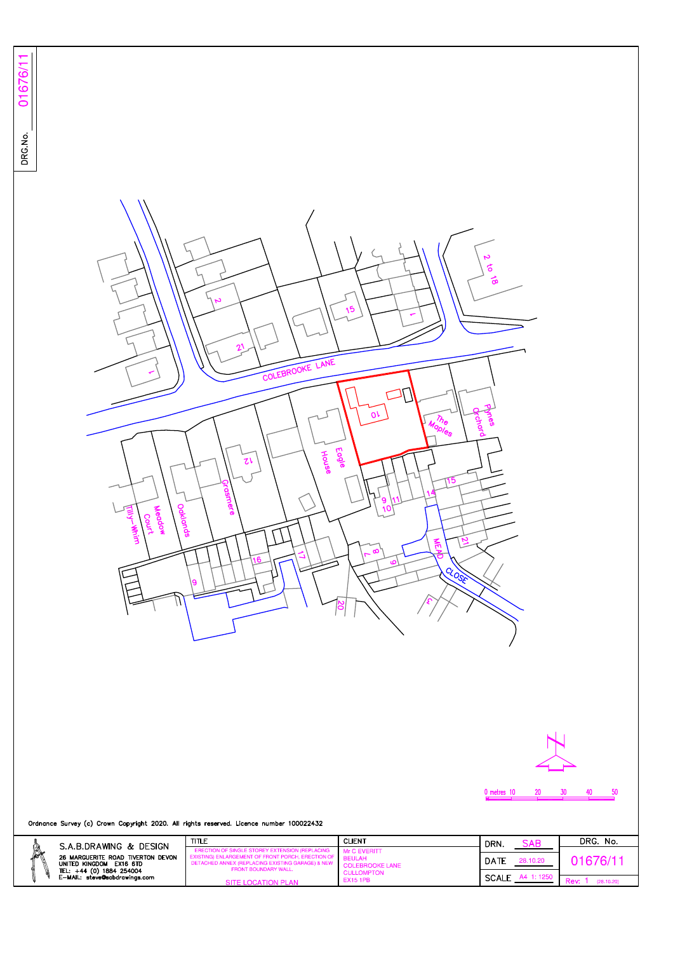





50

Ordnance Survey (c) Crown Copyright 2020. All rights reserved. Licence number 100022432

|   | S.A.B.DRAWING & DESIGN                                                                                                    | TITLE                                                                                                                                                                                  | <b>CLIENT</b>                                                         | DRN.                             | SAB        | DRG. No. |
|---|---------------------------------------------------------------------------------------------------------------------------|----------------------------------------------------------------------------------------------------------------------------------------------------------------------------------------|-----------------------------------------------------------------------|----------------------------------|------------|----------|
| Â | 26 MARGUERITE ROAD TIVERTON DEVON<br>UNITED KINGDOM EX16 6TD<br>TEL: +44 (0) 1884 254004<br>E-MAIL: steve@sabdrawings.com | ERECTION OF SINGLE STOREY EXTENSION (REPLACING<br>EXISTING) ENLARGEMENT OF FRONT PORCH. ERECTION OF<br>DETACHED ANNEX (REPLACING EXISTING GARAGE) & NEW<br><b>FRONT BOUNDARY WALL.</b> | Mr C EVERITT<br><b>BEULAH</b><br>COLEBROOKE LANE<br><b>CULLOMPTON</b> | DATE<br>28.10.20<br><b>SCALE</b> | 11676/     |          |
|   |                                                                                                                           | SITE LOCATION PLAN                                                                                                                                                                     | <b>EX15 1PB</b>                                                       |                                  | (28.10.20) |          |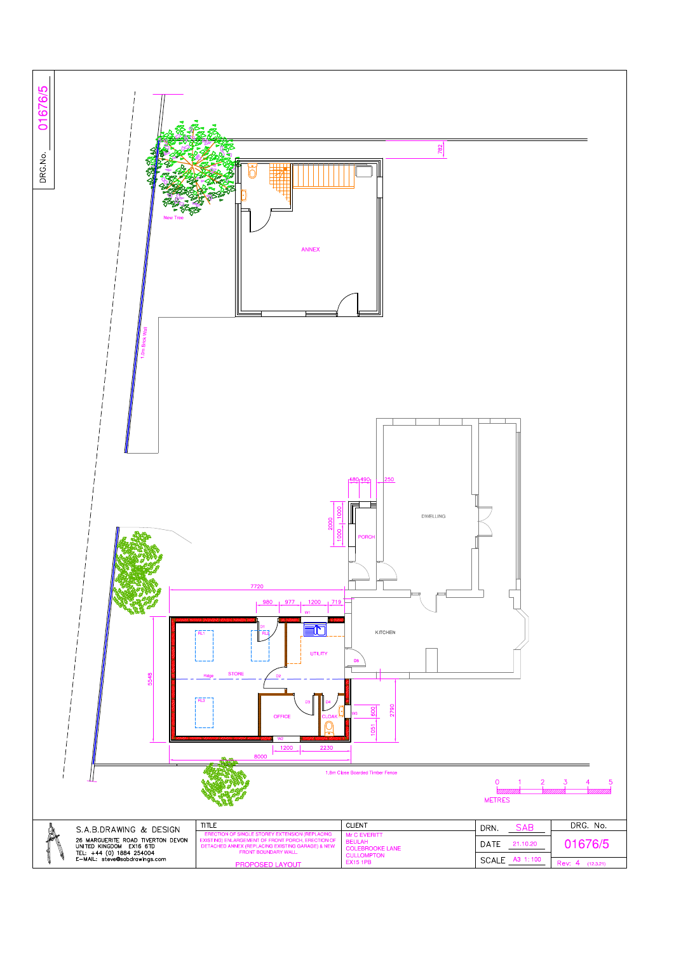

|                                                                                      | 1200<br>2230<br>8000<br>बौधीर                                                                                       |                                                                |                                               |                     |
|--------------------------------------------------------------------------------------|---------------------------------------------------------------------------------------------------------------------|----------------------------------------------------------------|-----------------------------------------------|---------------------|
| 1.8m Close Boarded Timber Fence<br><i><u>VIIIIIIIIIII.</u></i><br><b>METRES</b>      |                                                                                                                     |                                                                |                                               |                     |
| S.A.B.DRAWING & DESIGN<br>26 MARGUERITE ROAD TIVERTON DEVON                          | <b>TITLE</b><br>ERECTION OF SINGLE STOREY EXTENSION (REPLACING<br>EXISTING) ENLARGEMENT OF FRONT PORCH, ERECTION OF | <b>CLIENT</b><br>Mr C EVERITT<br><b>BEULAH</b>                 | <b>SAB</b><br>DRN.<br><b>DATE</b><br>21.10.20 | DRG. No.<br>01676/5 |
| UNITED KINGDOM EX16 6TD<br>TEL: +44 (0) 1884 254004<br>E-MAIL: steve@sabdrawings.com | DETACHED ANNEX (REPLACING EXISTING GARAGE) & NEW<br>FRONT BOUNDARY WALL.<br>PROPOSED LAYOUT                         | <b>COLEBROOKE LANE</b><br><b>CULLOMPTON</b><br><b>EX15 1PB</b> | SCALE A3 1:100                                | Rev: $4$ (12.3.21)  |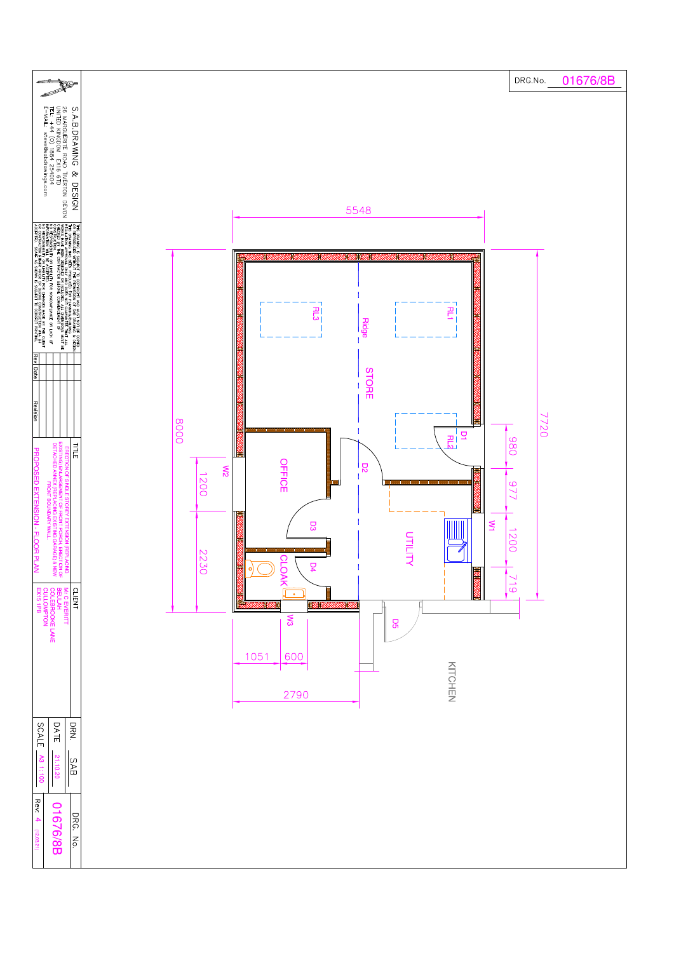

| DATE<br>SCALE                                                                      | DRN.                           |  |
|------------------------------------------------------------------------------------|--------------------------------|--|
| A3 1:100<br>21.10.20                                                               | SAB                            |  |
| ReV<br>$\circ$<br>$\rightarrow$<br><b>676/8B</b><br>$\blacktriangle$<br>(12.03.21) | DRG.<br>$ \tilde{\mathbf{z}} $ |  |